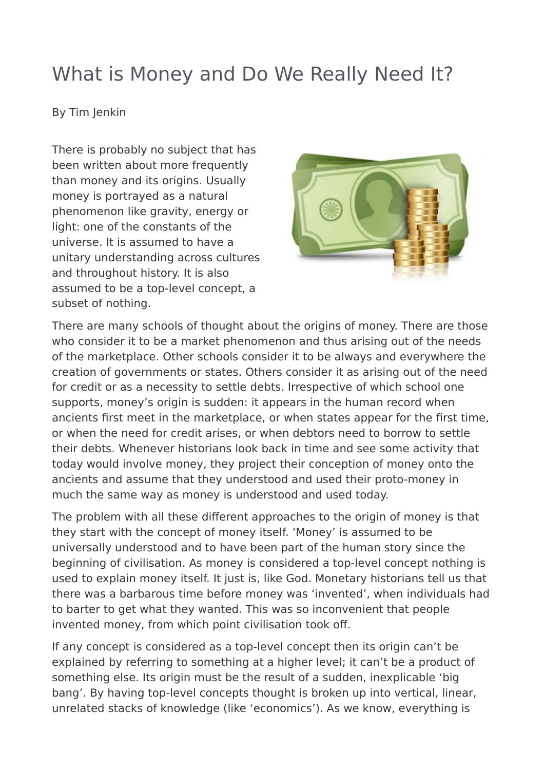# What is Money and Do We Really Need It?

#### By Tim Jenkin

There is probably no subject that has been written about more frequently than money and its origins. Usually money is portrayed as a natural phenomenon like gravity, energy or light: one of the constants of the universe. It is assumed to have a unitary understanding across cultures and throughout history. It is also assumed to be a top-level concept, a subset of nothing.



There are many schools of thought about the origins of money. There are those who consider it to be a market phenomenon and thus arising out of the needs of the marketplace. Other schools consider it to be always and everywhere the creation of governments or states. Others consider it as arising out of the need for credit or as a necessity to settle debts. Irrespective of which school one supports, money's origin is sudden: it appears in the human record when ancients first meet in the marketplace, or when states appear for the first time, or when the need for credit arises, or when debtors need to borrow to settle their debts. Whenever historians look back in time and see some activity that today would involve money, they project their conception of money onto the ancients and assume that they understood and used their proto-money in much the same way as money is understood and used today.

The problem with all these different approaches to the origin of money is that they start with the concept of money itself. 'Money' is assumed to be universally understood and to have been part of the human story since the beginning of civilisation. As money is considered a top-level concept nothing is used to explain money itself. It just is, like God. Monetary historians tell us that there was a barbarous time before money was 'invented', when individuals had to barter to get what they wanted. This was so inconvenient that people invented money, from which point civilisation took off.

If any concept is considered as a top-level concept then its origin can't be explained by referring to something at a higher level; it can't be a product of something else. Its origin must be the result of a sudden, inexplicable 'big bang'. By having top-level concepts thought is broken up into vertical, linear, unrelated stacks of knowledge (like 'economics'). As we know, everything is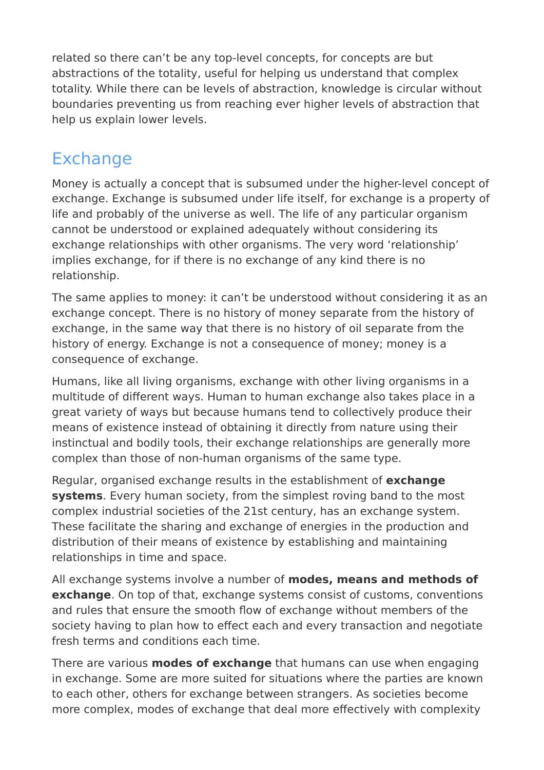related so there can't be any top-level concepts, for concepts are but abstractions of the totality, useful for helping us understand that complex totality. While there can be levels of abstraction, knowledge is circular without boundaries preventing us from reaching ever higher levels of abstraction that help us explain lower levels.

#### Exchange

Money is actually a concept that is subsumed under the higher-level concept of exchange. Exchange is subsumed under life itself, for exchange is a property of life and probably of the universe as well. The life of any particular organism cannot be understood or explained adequately without considering its exchange relationships with other organisms. The very word 'relationship' implies exchange, for if there is no exchange of any kind there is no relationship.

The same applies to money: it can't be understood without considering it as an exchange concept. There is no history of money separate from the history of exchange, in the same way that there is no history of oil separate from the history of energy. Exchange is not a consequence of money; money is a consequence of exchange.

Humans, like all living organisms, exchange with other living organisms in a multitude of different ways. Human to human exchange also takes place in a great variety of ways but because humans tend to collectively produce their means of existence instead of obtaining it directly from nature using their instinctual and bodily tools, their exchange relationships are generally more complex than those of non-human organisms of the same type.

Regular, organised exchange results in the establishment of **exchange systems**. Every human society, from the simplest roving band to the most complex industrial societies of the 21st century, has an exchange system. These facilitate the sharing and exchange of energies in the production and distribution of their means of existence by establishing and maintaining relationships in time and space.

All exchange systems involve a number of **modes, means and methods of exchange**. On top of that, exchange systems consist of customs, conventions and rules that ensure the smooth flow of exchange without members of the society having to plan how to effect each and every transaction and negotiate fresh terms and conditions each time.

There are various **modes of exchange** that humans can use when engaging in exchange. Some are more suited for situations where the parties are known to each other, others for exchange between strangers. As societies become more complex, modes of exchange that deal more effectively with complexity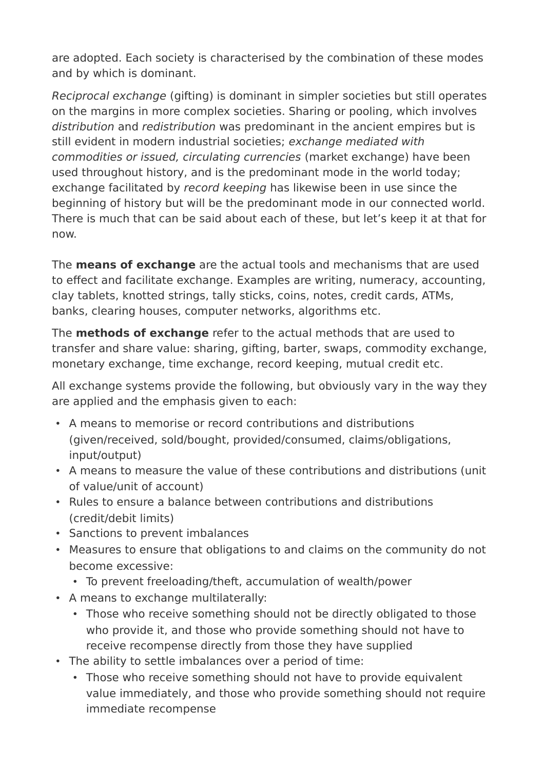are adopted. Each society is characterised by the combination of these modes and by which is dominant.

Reciprocal exchange (gifting) is dominant in simpler societies but still operates on the margins in more complex societies. Sharing or pooling, which involves distribution and redistribution was predominant in the ancient empires but is still evident in modern industrial societies; exchange mediated with commodities or issued, circulating currencies (market exchange) have been used throughout history, and is the predominant mode in the world today; exchange facilitated by record keeping has likewise been in use since the beginning of history but will be the predominant mode in our connected world. There is much that can be said about each of these, but let's keep it at that for now.

The **means of exchange** are the actual tools and mechanisms that are used to effect and facilitate exchange. Examples are writing, numeracy, accounting, clay tablets, knotted strings, tally sticks, coins, notes, credit cards, ATMs, banks, clearing houses, computer networks, algorithms etc.

The **methods of exchange** refer to the actual methods that are used to transfer and share value: sharing, gifting, barter, swaps, commodity exchange, monetary exchange, time exchange, record keeping, mutual credit etc.

All exchange systems provide the following, but obviously vary in the way they are applied and the emphasis given to each:

- A means to memorise or record contributions and distributions (given/received, sold/bought, provided/consumed, claims/obligations, input/output)
- A means to measure the value of these contributions and distributions (unit of value/unit of account)
- Rules to ensure a balance between contributions and distributions (credit/debit limits)
- Sanctions to prevent imbalances
- Measures to ensure that obligations to and claims on the community do not become excessive:
	- To prevent freeloading/theft, accumulation of wealth/power
- A means to exchange multilaterally:
	- Those who receive something should not be directly obligated to those who provide it, and those who provide something should not have to receive recompense directly from those they have supplied
- The ability to settle imbalances over a period of time:
	- Those who receive something should not have to provide equivalent value immediately, and those who provide something should not require immediate recompense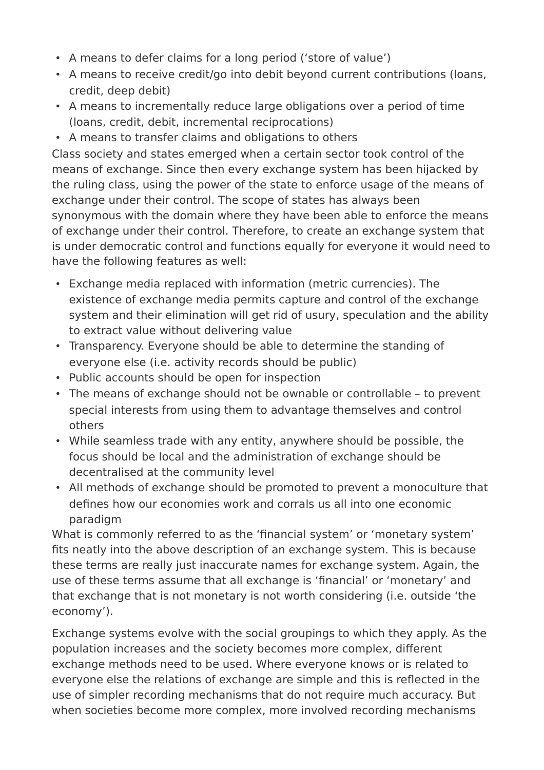- A means to defer claims for a long period ('store of value')
- A means to receive credit/go into debit beyond current contributions (loans, credit, deep debit)
- A means to incrementally reduce large obligations over a period of time (loans, credit, debit, incremental reciprocations)
- A means to transfer claims and obligations to others

Class society and states emerged when a certain sector took control of the means of exchange. Since then every exchange system has been hijacked by the ruling class, using the power of the state to enforce usage of the means of exchange under their control. The scope of states has always been synonymous with the domain where they have been able to enforce the means of exchange under their control. Therefore, to create an exchange system that is under democratic control and functions equally for everyone it would need to have the following features as well:

- Exchange media replaced with information (metric currencies). The existence of exchange media permits capture and control of the exchange system and their elimination will get rid of usury, speculation and the ability to extract value without delivering value
- Transparency. Everyone should be able to determine the standing of everyone else (i.e. activity records should be public)
- Public accounts should be open for inspection
- The means of exchange should not be ownable or controllable to prevent special interests from using them to advantage themselves and control others
- While seamless trade with any entity, anywhere should be possible, the focus should be local and the administration of exchange should be decentralised at the community level
- All methods of exchange should be promoted to prevent a monoculture that defines how our economies work and corrals us all into one economic paradigm

What is commonly referred to as the 'financial system' or 'monetary system' fits neatly into the above description of an exchange system. This is because these terms are really just inaccurate names for exchange system. Again, the use of these terms assume that all exchange is 'financial' or 'monetary' and that exchange that is not monetary is not worth considering (i.e. outside 'the economy').

Exchange systems evolve with the social groupings to which they apply. As the population increases and the society becomes more complex, different exchange methods need to be used. Where everyone knows or is related to everyone else the relations of exchange are simple and this is reflected in the use of simpler recording mechanisms that do not require much accuracy. But when societies become more complex, more involved recording mechanisms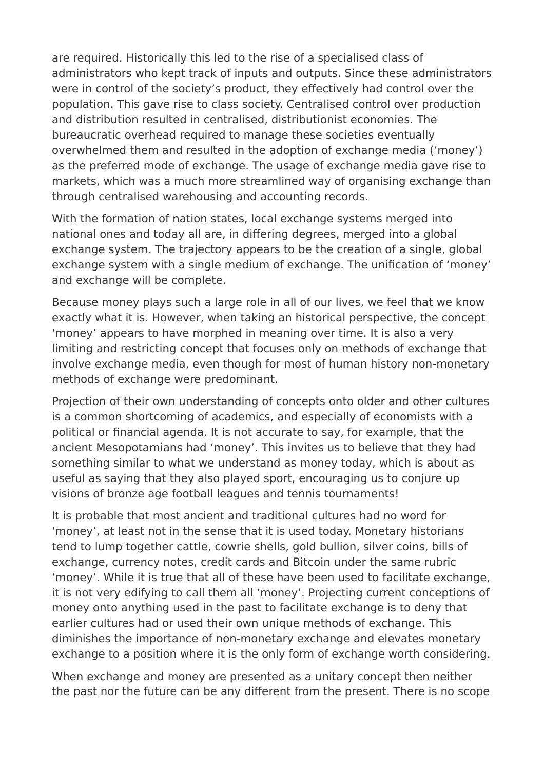are required. Historically this led to the rise of a specialised class of administrators who kept track of inputs and outputs. Since these administrators were in control of the society's product, they effectively had control over the population. This gave rise to class society. Centralised control over production and distribution resulted in centralised, distributionist economies. The bureaucratic overhead required to manage these societies eventually overwhelmed them and resulted in the adoption of exchange media ('money') as the preferred mode of exchange. The usage of exchange media gave rise to markets, which was a much more streamlined way of organising exchange than through centralised warehousing and accounting records.

With the formation of nation states, local exchange systems merged into national ones and today all are, in differing degrees, merged into a global exchange system. The trajectory appears to be the creation of a single, global exchange system with a single medium of exchange. The unification of 'money' and exchange will be complete.

Because money plays such a large role in all of our lives, we feel that we know exactly what it is. However, when taking an historical perspective, the concept 'money' appears to have morphed in meaning over time. It is also a very limiting and restricting concept that focuses only on methods of exchange that involve exchange media, even though for most of human history non-monetary methods of exchange were predominant.

Projection of their own understanding of concepts onto older and other cultures is a common shortcoming of academics, and especially of economists with a political or financial agenda. It is not accurate to say, for example, that the ancient Mesopotamians had 'money'. This invites us to believe that they had something similar to what we understand as money today, which is about as useful as saying that they also played sport, encouraging us to conjure up visions of bronze age football leagues and tennis tournaments!

It is probable that most ancient and traditional cultures had no word for 'money', at least not in the sense that it is used today. Monetary historians tend to lump together cattle, cowrie shells, gold bullion, silver coins, bills of exchange, currency notes, credit cards and Bitcoin under the same rubric 'money'. While it is true that all of these have been used to facilitate exchange, it is not very edifying to call them all 'money'. Projecting current conceptions of money onto anything used in the past to facilitate exchange is to deny that earlier cultures had or used their own unique methods of exchange. This diminishes the importance of non-monetary exchange and elevates monetary exchange to a position where it is the only form of exchange worth considering.

When exchange and money are presented as a unitary concept then neither the past nor the future can be any different from the present. There is no scope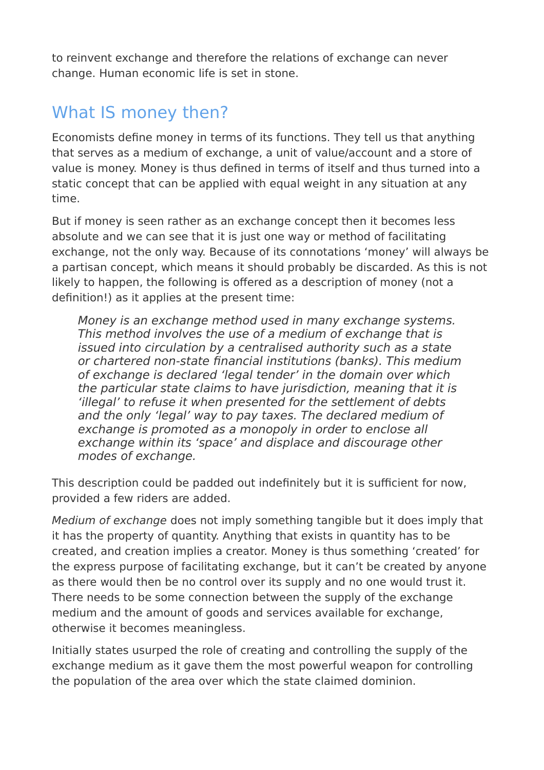to reinvent exchange and therefore the relations of exchange can never change. Human economic life is set in stone.

## What IS money then?

Economists define money in terms of its functions. They tell us that anything that serves as a medium of exchange, a unit of value/account and a store of value is money. Money is thus defined in terms of itself and thus turned into a static concept that can be applied with equal weight in any situation at any time.

But if money is seen rather as an exchange concept then it becomes less absolute and we can see that it is just one way or method of facilitating exchange, not the only way. Because of its connotations 'money' will always be a partisan concept, which means it should probably be discarded. As this is not likely to happen, the following is offered as a description of money (not a definition!) as it applies at the present time:

Money is an exchange method used in many exchange systems. This method involves the use of a medium of exchange that is issued into circulation by a centralised authority such as a state or chartered non-state financial institutions (banks). This medium of exchange is declared 'legal tender' in the domain over which the particular state claims to have jurisdiction, meaning that it is 'illegal' to refuse it when presented for the settlement of debts and the only 'legal' way to pay taxes. The declared medium of exchange is promoted as a monopoly in order to enclose all exchange within its 'space' and displace and discourage other modes of exchange.

This description could be padded out indefinitely but it is sufficient for now, provided a few riders are added.

Medium of exchange does not imply something tangible but it does imply that it has the property of quantity. Anything that exists in quantity has to be created, and creation implies a creator. Money is thus something 'created' for the express purpose of facilitating exchange, but it can't be created by anyone as there would then be no control over its supply and no one would trust it. There needs to be some connection between the supply of the exchange medium and the amount of goods and services available for exchange, otherwise it becomes meaningless.

Initially states usurped the role of creating and controlling the supply of the exchange medium as it gave them the most powerful weapon for controlling the population of the area over which the state claimed dominion.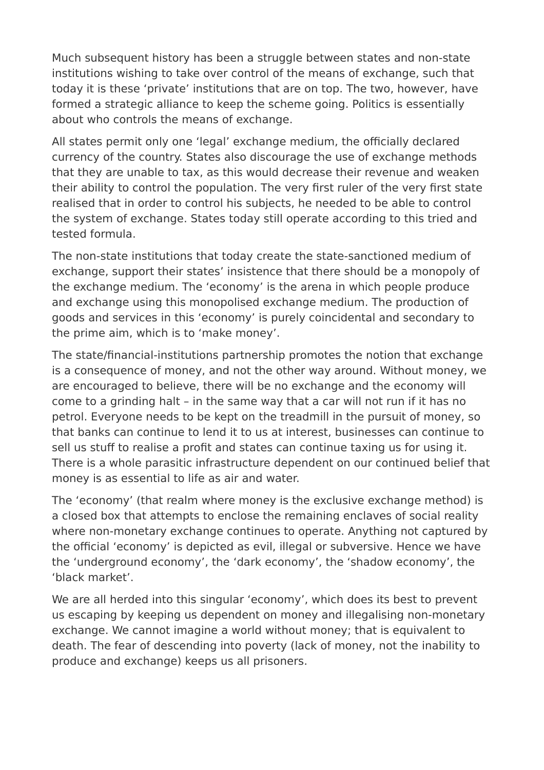Much subsequent history has been a struggle between states and non-state institutions wishing to take over control of the means of exchange, such that today it is these 'private' institutions that are on top. The two, however, have formed a strategic alliance to keep the scheme going. Politics is essentially about who controls the means of exchange.

All states permit only one 'legal' exchange medium, the officially declared currency of the country. States also discourage the use of exchange methods that they are unable to tax, as this would decrease their revenue and weaken their ability to control the population. The very first ruler of the very first state realised that in order to control his subjects, he needed to be able to control the system of exchange. States today still operate according to this tried and tested formula.

The non-state institutions that today create the state-sanctioned medium of exchange, support their states' insistence that there should be a monopoly of the exchange medium. The 'economy' is the arena in which people produce and exchange using this monopolised exchange medium. The production of goods and services in this 'economy' is purely coincidental and secondary to the prime aim, which is to 'make money'.

The state/financial-institutions partnership promotes the notion that exchange is a consequence of money, and not the other way around. Without money, we are encouraged to believe, there will be no exchange and the economy will come to a grinding halt – in the same way that a car will not run if it has no petrol. Everyone needs to be kept on the treadmill in the pursuit of money, so that banks can continue to lend it to us at interest, businesses can continue to sell us stuff to realise a profit and states can continue taxing us for using it. There is a whole parasitic infrastructure dependent on our continued belief that money is as essential to life as air and water.

The 'economy' (that realm where money is the exclusive exchange method) is a closed box that attempts to enclose the remaining enclaves of social reality where non-monetary exchange continues to operate. Anything not captured by the official 'economy' is depicted as evil, illegal or subversive. Hence we have the 'underground economy', the 'dark economy', the 'shadow economy', the 'black market'.

We are all herded into this singular 'economy', which does its best to prevent us escaping by keeping us dependent on money and illegalising non-monetary exchange. We cannot imagine a world without money; that is equivalent to death. The fear of descending into poverty (lack of money, not the inability to produce and exchange) keeps us all prisoners.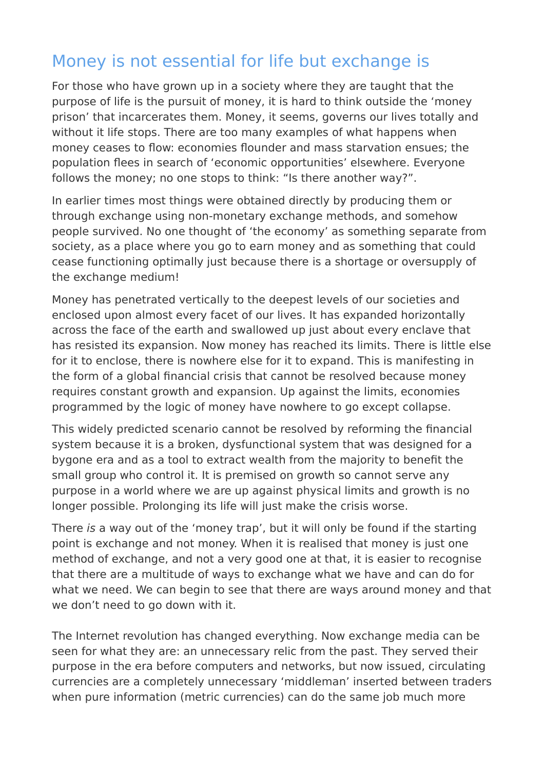### Money is not essential for life but exchange is

For those who have grown up in a society where they are taught that the purpose of life is the pursuit of money, it is hard to think outside the 'money prison' that incarcerates them. Money, it seems, governs our lives totally and without it life stops. There are too many examples of what happens when money ceases to flow: economies flounder and mass starvation ensues; the population flees in search of 'economic opportunities' elsewhere. Everyone follows the money; no one stops to think: "Is there another way?".

In earlier times most things were obtained directly by producing them or through exchange using non-monetary exchange methods, and somehow people survived. No one thought of 'the economy' as something separate from society, as a place where you go to earn money and as something that could cease functioning optimally just because there is a shortage or oversupply of the exchange medium!

Money has penetrated vertically to the deepest levels of our societies and enclosed upon almost every facet of our lives. It has expanded horizontally across the face of the earth and swallowed up just about every enclave that has resisted its expansion. Now money has reached its limits. There is little else for it to enclose, there is nowhere else for it to expand. This is manifesting in the form of a global financial crisis that cannot be resolved because money requires constant growth and expansion. Up against the limits, economies programmed by the logic of money have nowhere to go except collapse.

This widely predicted scenario cannot be resolved by reforming the financial system because it is a broken, dysfunctional system that was designed for a bygone era and as a tool to extract wealth from the majority to benefit the small group who control it. It is premised on growth so cannot serve any purpose in a world where we are up against physical limits and growth is no longer possible. Prolonging its life will just make the crisis worse.

There is a way out of the 'money trap', but it will only be found if the starting point is exchange and not money. When it is realised that money is just one method of exchange, and not a very good one at that, it is easier to recognise that there are a multitude of ways to exchange what we have and can do for what we need. We can begin to see that there are ways around money and that we don't need to go down with it.

The Internet revolution has changed everything. Now exchange media can be seen for what they are: an unnecessary relic from the past. They served their purpose in the era before computers and networks, but now issued, circulating currencies are a completely unnecessary 'middleman' inserted between traders when pure information (metric currencies) can do the same job much more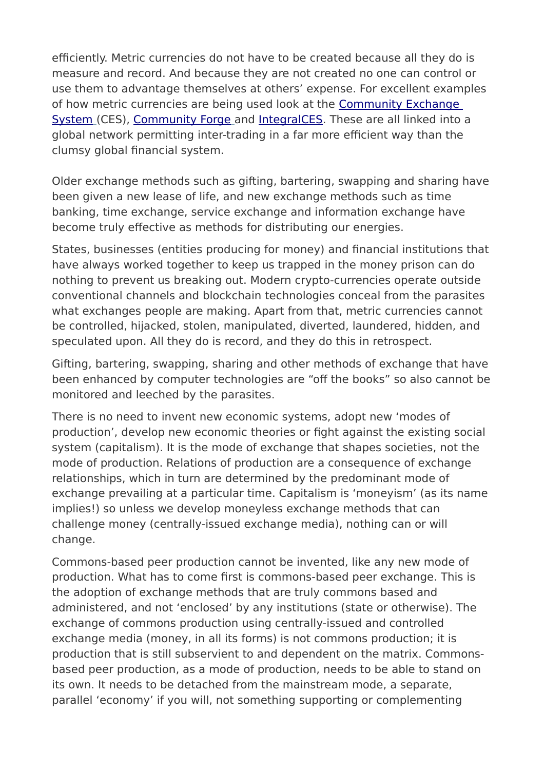efficiently. Metric currencies do not have to be created because all they do is measure and record. And because they are not created no one can control or use them to advantage themselves at others' expense. For excellent examples of how metric currencies are being used look at the [Community Exchange](https://www.community-exchange.org/)   [System](https://www.community-exchange.org/) (CES), [Community Forge](http://communityforge.net/en) and [IntegralCES.](https://www.integralces.net/) These are all linked into a global network permitting inter-trading in a far more efficient way than the clumsy global financial system.

Older exchange methods such as gifting, bartering, swapping and sharing have been given a new lease of life, and new exchange methods such as time banking, time exchange, service exchange and information exchange have become truly effective as methods for distributing our energies.

States, businesses (entities producing for money) and financial institutions that have always worked together to keep us trapped in the money prison can do nothing to prevent us breaking out. Modern crypto-currencies operate outside conventional channels and blockchain technologies conceal from the parasites what exchanges people are making. Apart from that, metric currencies cannot be controlled, hijacked, stolen, manipulated, diverted, laundered, hidden, and speculated upon. All they do is record, and they do this in retrospect.

Gifting, bartering, swapping, sharing and other methods of exchange that have been enhanced by computer technologies are "off the books" so also cannot be monitored and leeched by the parasites.

There is no need to invent new economic systems, adopt new 'modes of production', develop new economic theories or fight against the existing social system (capitalism). It is the mode of exchange that shapes societies, not the mode of production. Relations of production are a consequence of exchange relationships, which in turn are determined by the predominant mode of exchange prevailing at a particular time. Capitalism is 'moneyism' (as its name implies!) so unless we develop moneyless exchange methods that can challenge money (centrally-issued exchange media), nothing can or will change.

Commons-based peer production cannot be invented, like any new mode of production. What has to come first is commons-based peer exchange. This is the adoption of exchange methods that are truly commons based and administered, and not 'enclosed' by any institutions (state or otherwise). The exchange of commons production using centrally-issued and controlled exchange media (money, in all its forms) is not commons production; it is production that is still subservient to and dependent on the matrix. Commonsbased peer production, as a mode of production, needs to be able to stand on its own. It needs to be detached from the mainstream mode, a separate, parallel 'economy' if you will, not something supporting or complementing